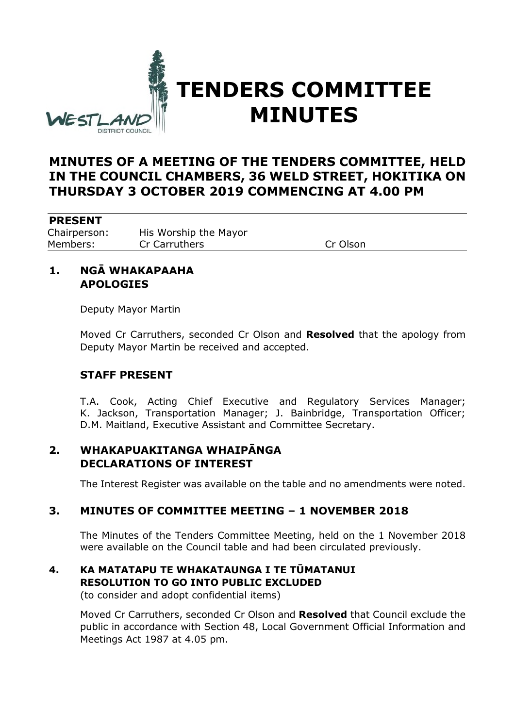

# **TENDERS COMMITTEE MINUTES**

# **MINUTES OF A MEETING OF THE TENDERS COMMITTEE, HELD IN THE COUNCIL CHAMBERS, 36 WELD STREET, HOKITIKA ON THURSDAY 3 OCTOBER 2019 COMMENCING AT 4.00 PM**

#### **PRESENT**

Chairperson: His Worship the Mayor Members: Cr Carruthers Cr Olson

## **1. NGĀ WHAKAPAAHA APOLOGIES**

Deputy Mayor Martin

Moved Cr Carruthers, seconded Cr Olson and **Resolved** that the apology from Deputy Mayor Martin be received and accepted.

#### **STAFF PRESENT**

T.A. Cook, Acting Chief Executive and Regulatory Services Manager; K. Jackson, Transportation Manager; J. Bainbridge, Transportation Officer; D.M. Maitland, Executive Assistant and Committee Secretary.

# **2. WHAKAPUAKITANGA WHAIPĀNGA DECLARATIONS OF INTEREST**

The Interest Register was available on the table and no amendments were noted.

#### **3. MINUTES OF COMMITTEE MEETING – 1 NOVEMBER 2018**

The Minutes of the Tenders Committee Meeting, held on the 1 November 2018 were available on the Council table and had been circulated previously.

# **4. KA MATATAPU TE WHAKATAUNGA I TE TŪMATANUI RESOLUTION TO GO INTO PUBLIC EXCLUDED**

(to consider and adopt confidential items)

Moved Cr Carruthers, seconded Cr Olson and **Resolved** that Council exclude the public in accordance with Section 48, Local Government Official Information and Meetings Act 1987 at 4.05 pm.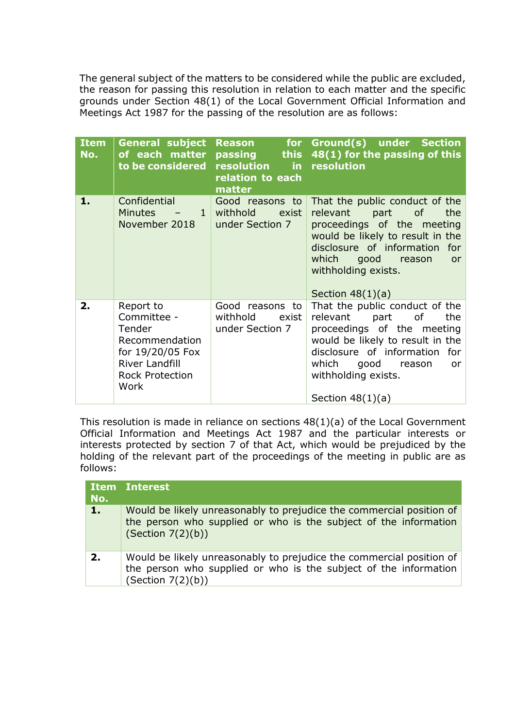The general subject of the matters to be considered while the public are excluded, the reason for passing this resolution in relation to each matter and the specific grounds under Section 48(1) of the Local Government Official Information and Meetings Act 1987 for the passing of the resolution are as follows:

| <b>Item</b><br>No. | <b>General subject</b><br>of each matter<br>to be considered                                                                        | for <b>s</b><br><b>Reason</b><br><b>passing</b><br>resolution<br>relation to each<br>matter | Ground(s) under Section<br>this $48(1)$ for the passing of this<br>in resolution                                                                                                                                                               |
|--------------------|-------------------------------------------------------------------------------------------------------------------------------------|---------------------------------------------------------------------------------------------|------------------------------------------------------------------------------------------------------------------------------------------------------------------------------------------------------------------------------------------------|
| 1.                 | Confidential<br>Minutes -<br>$\mathbf{1}$<br>November 2018                                                                          | Good reasons to<br>withhold<br>exist<br>under Section 7                                     | That the public conduct of the<br>relevant<br>part of<br>the<br>proceedings of the meeting<br>would be likely to result in the<br>disclosure of information for<br>which good reason<br><b>or</b><br>withholding exists.<br>Section $48(1)(a)$ |
| 2.                 | Report to<br>Committee -<br>Tender<br>Recommendation<br>for 19/20/05 Fox<br><b>River Landfill</b><br><b>Rock Protection</b><br>Work | Good reasons to<br>withhold<br>exist<br>under Section 7                                     | That the public conduct of the<br>relevant<br>part of<br>the<br>proceedings of the meeting<br>would be likely to result in the<br>disclosure of information for<br>which good reason<br>or<br>withholding exists.<br>Section $48(1)(a)$        |

This resolution is made in reliance on sections 48(1)(a) of the Local Government Official Information and Meetings Act 1987 and the particular interests or interests protected by section 7 of that Act, which would be prejudiced by the holding of the relevant part of the proceedings of the meeting in public are as follows:

| No. | <b>Item Interest</b>                                                                                                                                          |
|-----|---------------------------------------------------------------------------------------------------------------------------------------------------------------|
| 1.  | Would be likely unreasonably to prejudice the commercial position of<br>the person who supplied or who is the subject of the information<br>(Section 7(2)(b)) |
| 2.  | Would be likely unreasonably to prejudice the commercial position of<br>the person who supplied or who is the subject of the information<br>(Section 7(2)(b)) |